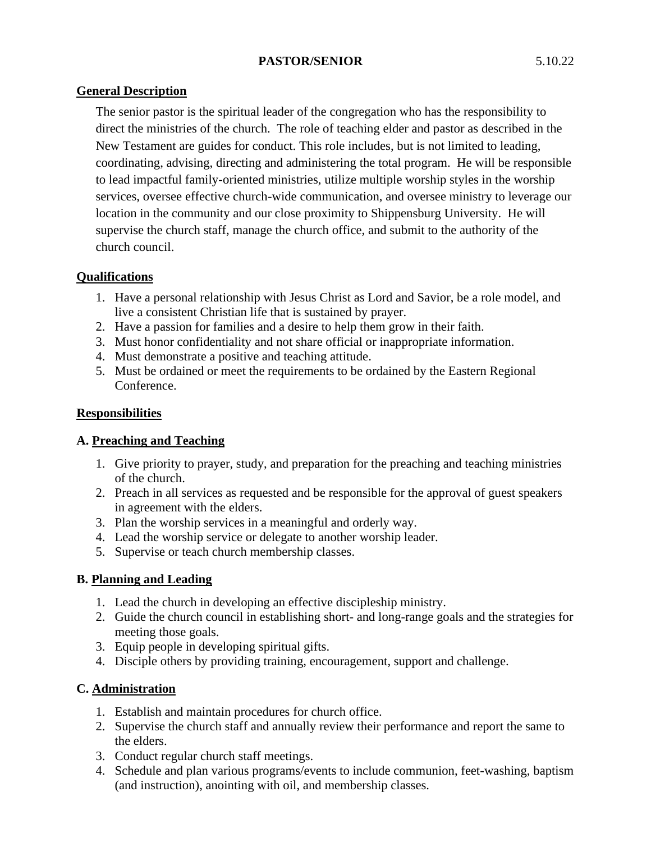## **PASTOR/SENIOR** 5.10.22

The senior pastor is the spiritual leader of the congregation who has the responsibility to direct the ministries of the church. The role of teaching elder and pastor as described in the New Testament are guides for conduct. This role includes, but is not limited to leading, coordinating, advising, directing and administering the total program. He will be responsible to lead impactful family-oriented ministries, utilize multiple worship styles in the worship services, oversee effective church-wide communication, and oversee ministry to leverage our location in the community and our close proximity to Shippensburg University. He will supervise the church staff, manage the church office, and submit to the authority of the church council.

### **Qualifications**

- 1. Have a personal relationship with Jesus Christ as Lord and Savior, be a role model, and live a consistent Christian life that is sustained by prayer.
- 2. Have a passion for families and a desire to help them grow in their faith.
- 3. Must honor confidentiality and not share official or inappropriate information.
- 4. Must demonstrate a positive and teaching attitude.
- 5. Must be ordained or meet the requirements to be ordained by the Eastern Regional Conference.

## **Responsibilities**

# **A. Preaching and Teaching**

- 1. Give priority to prayer, study, and preparation for the preaching and teaching ministries of the church.
- 2. Preach in all services as requested and be responsible for the approval of guest speakers in agreement with the elders.
- 3. Plan the worship services in a meaningful and orderly way.
- 4. Lead the worship service or delegate to another worship leader.
- 5. Supervise or teach church membership classes.

### **B. Planning and Leading**

- 1. Lead the church in developing an effective discipleship ministry.
- 2. Guide the church council in establishing short- and long-range goals and the strategies for meeting those goals.
- 3. Equip people in developing spiritual gifts.
- 4. Disciple others by providing training, encouragement, support and challenge.

# **C. Administration**

- 1. Establish and maintain procedures for church office.
- 2. Supervise the church staff and annually review their performance and report the same to the elders.
- 3. Conduct regular church staff meetings.
- 4. Schedule and plan various programs/events to include communion, feet-washing, baptism (and instruction), anointing with oil, and membership classes.